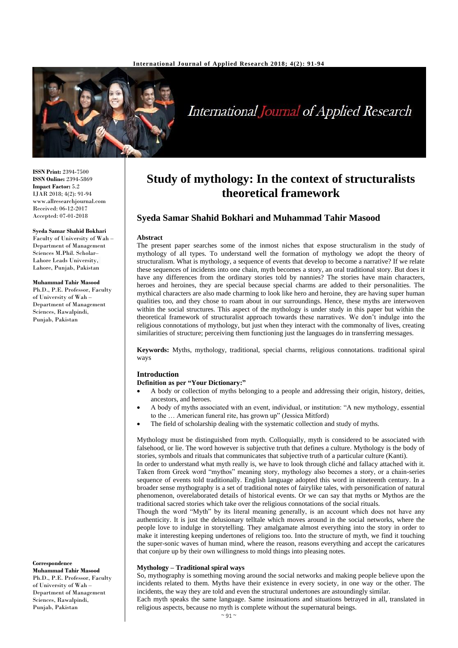

**International Journal of Applied Research** 

**ISSN Print:** 2394-7500 **ISSN Online:** 2394-5869 **Impact Factor:** 5.2 IJAR 2018; 4(2): 91-94 www.allresearchjournal.com Received: 06-12-2017 Accepted: 07-01-2018

#### **Syeda Samar Shahid Bokhari**

Faculty of University of Wah – Department of Management Sciences M.Phil. Scholar– Lahore Leads University, Lahore, Punjab, Pakistan

#### **Muhammad Tahir Masood**

Ph.D., P.E. Professor, Faculty of University of Wah – Department of Management Sciences, Rawalpindi, Punjab, Pakistan

# **Study of mythology: In the context of structuralists theoretical framework**

## **Syeda Samar Shahid Bokhari and Muhammad Tahir Masood**

#### **Abstract**

The present paper searches some of the inmost niches that expose structuralism in the study of mythology of all types. To understand well the formation of mythology we adopt the theory of structuralism. What is mythology, a sequence of events that develop to become a narrative? If we relate these sequences of incidents into one chain, myth becomes a story, an oral traditional story. But does it have any differences from the ordinary stories told by nannies? The stories have main characters, heroes and heroines, they are special because special charms are added to their personalities. The mythical characters are also made charming to look like hero and heroine, they are having super human qualities too, and they chose to roam about in our surroundings. Hence, these myths are interwoven within the social structures. This aspect of the mythology is under study in this paper but within the theoretical framework of structuralist approach towards these narratives. We don't indulge into the religious connotations of mythology, but just when they interact with the commonalty of lives, creating similarities of structure; perceiving them functioning just the languages do in transferring messages*.*

**Keywords:** Myths, mythology, traditional, special charms, religious connotations. traditional spiral ways

#### **Introduction**

#### **Definition as per "Your Dictionary:"**

- A body or collection of myths belonging to a people and addressing their origin, history, deities, ancestors, and heroes.
- A body of myths associated with an event, individual, or institution: "A new mythology, essential to the … American funeral rite, has grown up" (Jessica Mitford)
- The field of scholarship dealing with the systematic collection and study of myths.

Mythology must be distinguished from myth. Colloquially, myth is considered to be associated with falsehood, or lie. The word however is subjective truth that defines a culture. Mythology is the body of stories, symbols and rituals that communicates that subjective truth of a particular culture (Kanti).

In order to understand what myth really is, we have to look through cliché and fallacy attached with it. Taken from Greek word "mythos" meaning story, mythology also becomes a story, or a chain-series sequence of events told traditionally. English language adopted this word in nineteenth century. In a broader sense mythography is a set of traditional notes of fairylike tales, with personification of natural phenomenon, overelaborated details of historical events. Or we can say that myths or Mythos are the traditional sacred stories which take over the religious connotations of the social rituals.

Though the word "Myth" by its literal meaning generally, is an account which does not have any authenticity. It is just the delusionary telltale which moves around in the social networks, where the people love to indulge in storytelling. They amalgamate almost everything into the story in order to make it interesting keeping undertones of religions too. Into the structure of myth, we find it touching the super-sonic waves of human mind, where the reason, reasons everything and accept the caricatures that conjure up by their own willingness to mold things into pleasing notes.

### **Mythology – Traditional spiral ways**

So, mythography is something moving around the social networks and making people believe upon the incidents related to them. Myths have their existence in every society, in one way or the other. The incidents, the way they are told and even the structural undertones are astoundingly similar. Each myth speaks the same language. Same insinuations and situations betrayed in all, translated in religious aspects, because no myth is complete without the supernatural beings.

**Correspondence**

**Muhammad Tahir Masood** Ph.D., P.E. Professor, Faculty of University of Wah – Department of Management Sciences, Rawalpindi, Punjab, Pakistan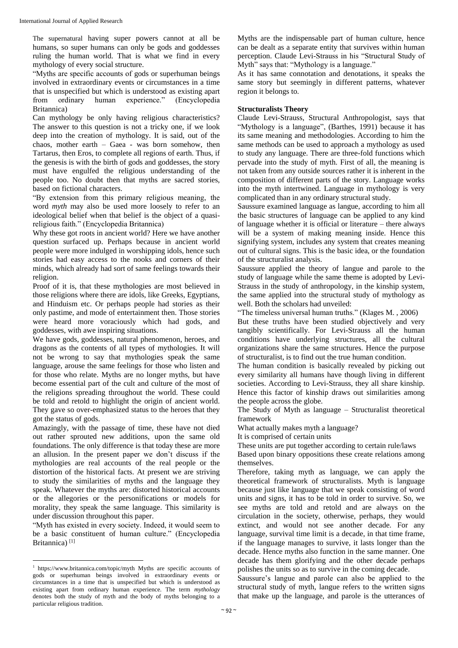The supernatural having super powers cannot at all be humans, so super humans can only be gods and goddesses ruling the human world. That is what we find in every mythology of every social structure.

"Myths are specific accounts of gods or superhuman beings involved in extraordinary events or circumstances in a time that is unspecified but which is understood as existing apart from ordinary human experience." (Encyclopedia Britannica)

Can mythology be only having religious characteristics? The answer to this question is not a tricky one, if we look deep into the creation of mythology. It is said, out of the chaos, mother earth – Gaea - was born somehow, then Tartarus, then Eros, to complete all regions of earth. Thus, if the genesis is with the birth of gods and goddesses, the story must have engulfed the religious understanding of the people too. No doubt then that myths are sacred stories, based on fictional characters.

"By extension from this primary religious meaning, the word *myth* may also be used more loosely to refer to an ideological belief when that belief is the object of a quasireligious faith." (Encyclopedia Britannica)

Why these got roots in ancient world? Here we have another question surfaced up. Perhaps because in ancient world people were more indulged in worshipping idols, hence such stories had easy access to the nooks and corners of their minds, which already had sort of same feelings towards their religion.

Proof of it is, that these mythologies are most believed in those religions where there are idols, like Greeks, Egyptians, and Hinduism etc. Or perhaps people had stories as their only pastime, and mode of entertainment then. Those stories were heard more voraciously which had gods, and goddesses, with awe inspiring situations.

We have gods, goddesses, natural phenomenon, heroes, and dragons as the contents of all types of mythologies. It will not be wrong to say that mythologies speak the same language, arouse the same feelings for those who listen and for those who relate. Myths are no longer myths, but have become essential part of the cult and culture of the most of the religions spreading throughout the world. These could be told and retold to highlight the origin of ancient world. They gave so over-emphasized status to the heroes that they got the status of gods.

Amazingly, with the passage of time, these have not died out rather sprouted new additions, upon the same old foundations. The only difference is that today these are more an allusion. In the present paper we don't discuss if the mythologies are real accounts of the real people or the distortion of the historical facts. At present we are striving to study the similarities of myths and the language they speak. Whatever the myths are: distorted historical accounts or the allegories or the personifications or models for morality, they speak the same language. This similarity is under discussion throughout this paper.

"Myth has existed in every society. Indeed, it would seem to be a basic constituent of human culture." (Encyclopedia Britannica)<sup>[1]</sup>

 $\overline{\phantom{a}}$ 

Myths are the indispensable part of human culture, hence can be dealt as a separate entity that survives within human perception. Claude Levi-Strauss in his "Structural Study of Myth" says that: "Mythology is a language."

As it has same connotation and denotations, it speaks the same story but seemingly in different patterns, whatever region it belongs to.

## **Structuralists Theory**

Claude Levi-Strauss, Structural Anthropologist, says that "Mythology is a language", (Barthes, 1991) because it has its same meaning and methodologies. According to him the same methods can be used to approach a mythology as used to study any language. There are three-fold functions which pervade into the study of myth. First of all, the meaning is not taken from any outside sources rather it is inherent in the composition of different parts of the story. Language works into the myth intertwined. Language in mythology is very complicated than in any ordinary structural study.

Saussure examined language as langue, according to him all the basic structures of language can be applied to any kind of language whether it is official or literature – there always will be a system of making meaning inside. Hence this signifying system, includes any system that creates meaning out of cultural signs. This is the basic idea, or the foundation of the structuralist analysis.

Saussure applied the theory of langue and parole to the study of language while the same theme is adopted by Levi-Strauss in the study of anthropology, in the kinship system, the same applied into the structural study of mythology as well. Both the scholars had unveiled:

"The timeless universal human truths." (Klages M. , 2006)

But these truths have been studied objectively and very tangibly scientifically. For Levi-Strauss all the human conditions have underlying structures, all the cultural organizations share the same structures. Hence the purpose of structuralist, is to find out the true human condition.

The human condition is basically revealed by picking out every similarity all humans have though living in different societies. According to Levi-Strauss, they all share kinship. Hence this factor of kinship draws out similarities among the people across the globe.

The Study of Myth as language – Structuralist theoretical framework

What actually makes myth a language?

It is comprised of certain units

These units are put together according to certain rule/laws

Based upon binary oppositions these create relations among themselves.

Therefore, taking myth as language, we can apply the theoretical framework of structuralists. Myth is language because just like language that we speak consisting of word units and signs, it has to be told in order to survive. So, we see myths are told and retold and are always on the circulation in the society, otherwise, perhaps, they would extinct, and would not see another decade. For any language, survival time limit is a decade, in that time frame, if the language manages to survive, it lasts longer than the decade. Hence myths also function in the same manner. One decade has them glorifying and the other decade perhaps polishes the units so as to survive in the coming decade.

Saussure's langue and parole can also be applied to the structural study of myth, langue refers to the written signs that make up the language, and parole is the utterances of

<sup>&</sup>lt;sup>1</sup> https://www.britannica.com/topic/myth Myths are specific accounts of gods or superhuman beings involved in extraordinary events or circumstances in a time that is unspecified but which is understood as existing apart from ordinary human experience. The term *mythology* denotes both the study of myth and the body of myths belonging to a particular religious tradition.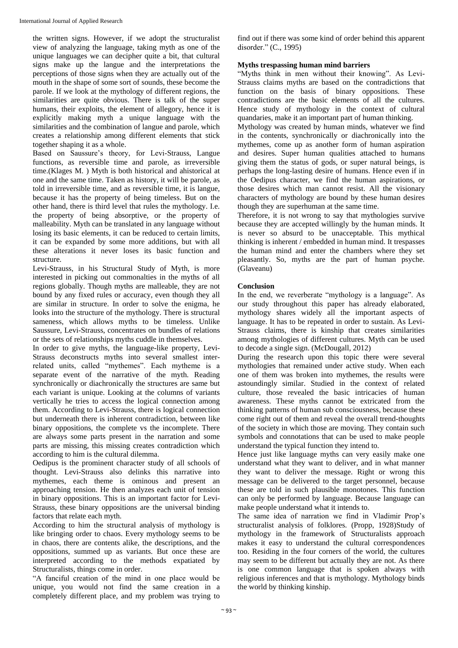the written signs. However, if we adopt the structuralist view of analyzing the language, taking myth as one of the unique languages we can decipher quite a bit, that cultural signs make up the langue and the interpretations the perceptions of those signs when they are actually out of the mouth in the shape of some sort of sounds, these become the parole. If we look at the mythology of different regions, the similarities are quite obvious. There is talk of the super humans, their exploits, the element of allegory, hence it is explicitly making myth a unique language with the similarities and the combination of langue and parole, which creates a relationship among different elements that stick together shaping it as a whole.

Based on Saussure's theory, for Levi-Strauss, Langue functions, as reversible time and parole, as irreversible time.(Klages M. ) Myth is both historical and ahistorical at one and the same time. Taken as history, it will be parole, as told in irreversible time, and as reversible time, it is langue, because it has the property of being timeless. But on the other hand, there is third level that rules the mythology. I.e. the property of being absorptive, or the property of malleability. Myth can be translated in any language without losing its basic elements, it can be reduced to certain limits, it can be expanded by some more additions, but with all these alterations it never loses its basic function and structure.

Levi-Strauss, in his Structural Study of Myth, is more interested in picking out commonalties in the myths of all regions globally. Though myths are malleable, they are not bound by any fixed rules or accuracy, even though they all are similar in structure. In order to solve the enigma, he looks into the structure of the mythology. There is structural sameness, which allows myths to be timeless. Unlike Saussure, Levi-Strauss, concentrates on bundles of relations or the sets of relationships myths cuddle in themselves.

In order to give myths, the language-like property, Levi-Strauss deconstructs myths into several smallest interrelated units, called "mythemes". Each mytheme is a separate event of the narrative of the myth. Reading synchronically or diachronically the structures are same but each variant is unique. Looking at the columns of variants vertically he tries to access the logical connection among them. According to Levi-Strauss, there is logical connection but underneath there is inherent contradiction, between like binary oppositions, the complete vs the incomplete. There are always some parts present in the narration and some parts are missing, this missing creates contradiction which according to him is the cultural dilemma.

Oedipus is the prominent character study of all schools of thought. Levi-Strauss also delinks this narrative into mythemes, each theme is ominous and present an approaching tension. He then analyzes each unit of tension in binary oppositions. This is an important factor for Levi-Strauss, these binary oppositions are the universal binding factors that relate each myth.

According to him the structural analysis of mythology is like bringing order to chaos. Every mythology seems to be in chaos, there are contents alike, the descriptions, and the oppositions, summed up as variants. But once these are interpreted according to the methods expatiated by Structuralists, things come in order.

"A fanciful creation of the mind in one place would be unique, you would not find the same creation in a completely different place, and my problem was trying to

find out if there was some kind of order behind this apparent disorder." (C., 1995)

## **Myths trespassing human mind barriers**

"Myths think in men without their knowing". As Levi-Strauss claims myths are based on the contradictions that function on the basis of binary oppositions. These contradictions are the basic elements of all the cultures. Hence study of mythology in the context of cultural quandaries, make it an important part of human thinking.

Mythology was created by human minds, whatever we find in the contents, synchronically or diachronically into the mythemes, come up as another form of human aspiration and desires. Super human qualities attached to humans giving them the status of gods, or super natural beings, is perhaps the long-lasting desire of humans. Hence even if in the Oedipus character, we find the human aspirations, or those desires which man cannot resist. All the visionary characters of mythology are bound by these human desires though they are superhuman at the same time.

Therefore, it is not wrong to say that mythologies survive because they are accepted willingly by the human minds. It is never so absurd to be unacceptable. This mythical thinking is inherent / embedded in human mind. It trespasses the human mind and enter the chambers where they set pleasantly. So, myths are the part of human psyche. (Glaveanu)

## **Conclusion**

In the end, we reverberate "mythology is a language". As our study throughout this paper has already elaborated, mythology shares widely all the important aspects of language. It has to be repeated in order to sustain. As Levi-Strauss claims, there is kinship that creates similarities among mythologies of different cultures. Myth can be used to decode a single sign. (McDougall, 2012)

During the research upon this topic there were several mythologies that remained under active study. When each one of them was broken into mythemes, the results were astoundingly similar. Studied in the context of related culture, those revealed the basic intricacies of human awareness. These myths cannot be extricated from the thinking patterns of human sub consciousness, because these come right out of them and reveal the overall trend-thoughts of the society in which those are moving. They contain such symbols and connotations that can be used to make people understand the typical function they intend to.

Hence just like language myths can very easily make one understand what they want to deliver, and in what manner they want to deliver the message. Right or wrong this message can be delivered to the target personnel, because these are told in such plausible monotones. This function can only be performed by language. Because language can make people understand what it intends to.

The same idea of narration we find in Vladimir Prop's structuralist analysis of folklores. (Propp, 1928)Study of mythology in the framework of Structuralists approach makes it easy to understand the cultural correspondences too. Residing in the four corners of the world, the cultures may seem to be different but actually they are not. As there is one common language that is spoken always with religious inferences and that is mythology. Mythology binds the world by thinking kinship.